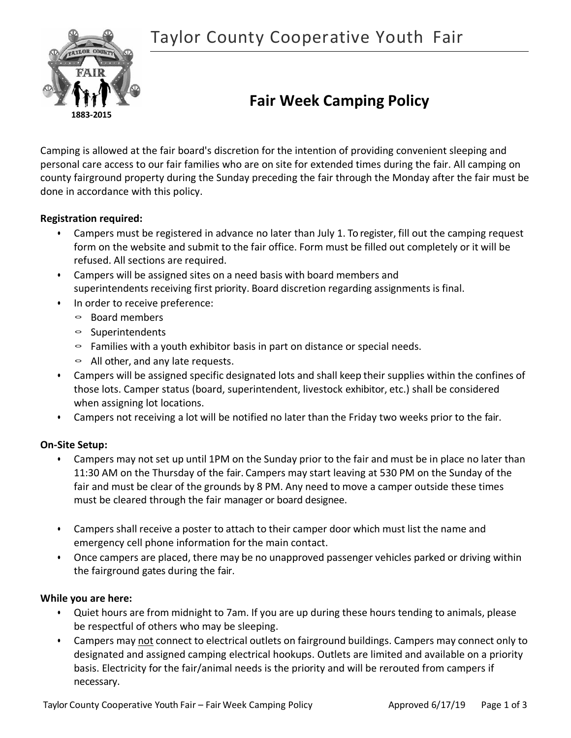

# **Fair Week Camping Policy**

Camping is allowed at the fair board's discretion for the intention of providing convenient sleeping and personal care access to our fair families who are on site for extended times during the fair. All camping on county fairground property during the Sunday preceding the fair through the Monday after the fair must be done in accordance with this policy.

# **Registration required:**

- Campers must be registered in advance no later than July 1. To register, fill out the camping request form on the website and submit to the fair office. Form must be filled out completely or it will be refused. All sections are required.
- Campers will be assigned sites on a need basis with board members and superintendents receiving first priority. Board discretion regarding assignments is final.
- In order to receive preference:
	- Board members
	- Superintendents
	- $\circ$  Families with a youth exhibitor basis in part on distance or special needs.
	- $\circ$  All other, and any late requests.
- Campers will be assigned specific designated lots and shall keep their supplies within the confines of those lots. Camper status (board, superintendent, livestock exhibitor, etc.) shall be considered when assigning lot locations.
- Campers not receiving a lot will be notified no later than the Friday two weeks prior to the fair.

## **On-Site Setup:**

- Campers may not set up until 1PM on the Sunday prior to the fair and must be in place no later than 11:30 AM on the Thursday of the fair. Campers may start leaving at 530 PM on the Sunday of the fair and must be clear of the grounds by 8 PM. Any need to move a camper outside these times must be cleared through the fair manager or board designee.
- Campers shall receive a poster to attach to their camper door which must list the name and emergency cell phone information for the main contact.
- Once campers are placed, there may be no unapproved passenger vehicles parked or driving within the fairground gates during the fair.

## **While you are here:**

- Quiet hours are from midnight to 7am. If you are up during these hours tending to animals, please be respectful of others who may be sleeping.
- Campers may not connect to electrical outlets on fairground buildings. Campers may connect only to designated and assigned camping electrical hookups. Outlets are limited and available on a priority basis. Electricity for the fair/animal needs is the priority and will be rerouted from campers if necessary.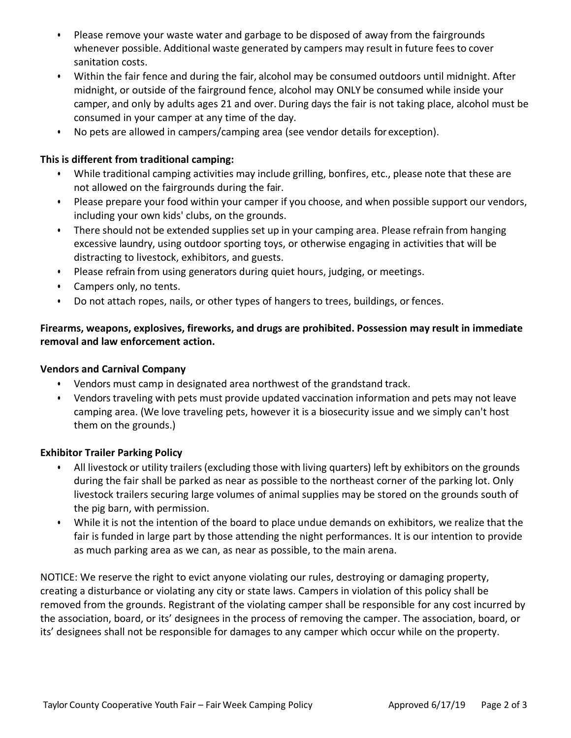- Please remove your waste water and garbage to be disposed of away from the fairgrounds whenever possible. Additional waste generated by campers may result in future feesto cover sanitation costs.
- Within the fair fence and during the fair, alcohol may be consumed outdoors until midnight. After midnight, or outside of the fairground fence, alcohol may ONLY be consumed while inside your camper, and only by adults ages 21 and over. During days the fair is not taking place, alcohol must be consumed in your camper at any time of the day.
- No pets are allowed in campers/camping area (see vendor details for exception).

# **This is different from traditional camping:**

- While traditional camping activities may include grilling, bonfires, etc., please note that these are not allowed on the fairgrounds during the fair.
- Please prepare your food within your camper if you choose, and when possible support our vendors, including your own kids' clubs, on the grounds.
- There should not be extended supplies set up in your camping area. Please refrain from hanging excessive laundry, using outdoor sporting toys, or otherwise engaging in activities that will be distracting to livestock, exhibitors, and guests.
- Please refrain from using generators during quiet hours, judging, or meetings.
- Campers only, no tents.
- Do not attach ropes, nails, or other types of hangers to trees, buildings, orfences.

# **Firearms, weapons, explosives, fireworks, and drugs are prohibited. Possession may result in immediate removal and law enforcement action.**

## **Vendors and Carnival Company**

- Vendors must camp in designated area northwest of the grandstand track.
- Vendors traveling with pets must provide updated vaccination information and pets may not leave camping area. (We love traveling pets, however it is a biosecurity issue and we simply can't host them on the grounds.)

## **Exhibitor Trailer Parking Policy**

- All livestock or utility trailers (excluding those with living quarters) left by exhibitors on the grounds during the fair shall be parked as near as possible to the northeast corner of the parking lot. Only livestock trailers securing large volumes of animal supplies may be stored on the grounds south of the pig barn, with permission.
- While it is not the intention of the board to place undue demands on exhibitors, we realize that the fair is funded in large part by those attending the night performances. It is our intention to provide as much parking area as we can, as near as possible, to the main arena.

NOTICE: We reserve the right to evict anyone violating our rules, destroying or damaging property, creating a disturbance or violating any city or state laws. Campers in violation of this policy shall be removed from the grounds. Registrant of the violating camper shall be responsible for any cost incurred by the association, board, or its' designees in the process of removing the camper. The association, board, or its' designees shall not be responsible for damages to any camper which occur while on the property.